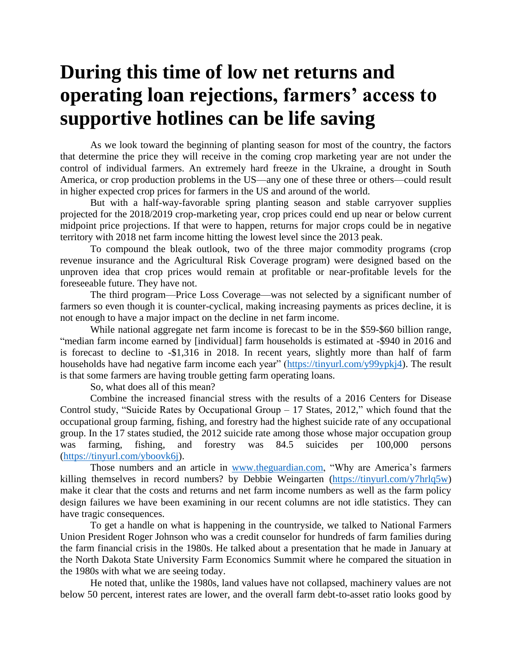## **During this time of low net returns and operating loan rejections, farmers' access to supportive hotlines can be life saving**

As we look toward the beginning of planting season for most of the country, the factors that determine the price they will receive in the coming crop marketing year are not under the control of individual farmers. An extremely hard freeze in the Ukraine, a drought in South America, or crop production problems in the US—any one of these three or others—could result in higher expected crop prices for farmers in the US and around of the world.

But with a half-way-favorable spring planting season and stable carryover supplies projected for the 2018/2019 crop-marketing year, crop prices could end up near or below current midpoint price projections. If that were to happen, returns for major crops could be in negative territory with 2018 net farm income hitting the lowest level since the 2013 peak.

To compound the bleak outlook, two of the three major commodity programs (crop revenue insurance and the Agricultural Risk Coverage program) were designed based on the unproven idea that crop prices would remain at profitable or near-profitable levels for the foreseeable future. They have not.

The third program—Price Loss Coverage—was not selected by a significant number of farmers so even though it is counter-cyclical, making increasing payments as prices decline, it is not enough to have a major impact on the decline in net farm income.

While national aggregate net farm income is forecast to be in the \$59-\$60 billion range, "median farm income earned by [individual] farm households is estimated at -\$940 in 2016 and is forecast to decline to -\$1,316 in 2018. In recent years, slightly more than half of farm households have had negative farm income each year" [\(https://tinyurl.com/y99ypkj4\)](https://tinyurl.com/y99ypkj4). The result is that some farmers are having trouble getting farm operating loans.

So, what does all of this mean?

Combine the increased financial stress with the results of a 2016 Centers for Disease Control study, "Suicide Rates by Occupational Group – 17 States, 2012," which found that the occupational group farming, fishing, and forestry had the highest suicide rate of any occupational group. In the 17 states studied, the 2012 suicide rate among those whose major occupation group was farming, fishing, and forestry was 84.5 suicides per 100,000 persons [\(https://tinyurl.com/yboovk6j\)](https://tinyurl.com/yboovk6j).

Those numbers and an article in [www.theguardian.com,](http://www.theguardian.com/) "Why are America's farmers killing themselves in record numbers? by Debbie Weingarten [\(https://tinyurl.com/y7hrlq5w\)](https://tinyurl.com/y7hrlq5w) make it clear that the costs and returns and net farm income numbers as well as the farm policy design failures we have been examining in our recent columns are not idle statistics. They can have tragic consequences.

To get a handle on what is happening in the countryside, we talked to National Farmers Union President Roger Johnson who was a credit counselor for hundreds of farm families during the farm financial crisis in the 1980s. He talked about a presentation that he made in January at the North Dakota State University Farm Economics Summit where he compared the situation in the 1980s with what we are seeing today.

He noted that, unlike the 1980s, land values have not collapsed, machinery values are not below 50 percent, interest rates are lower, and the overall farm debt-to-asset ratio looks good by